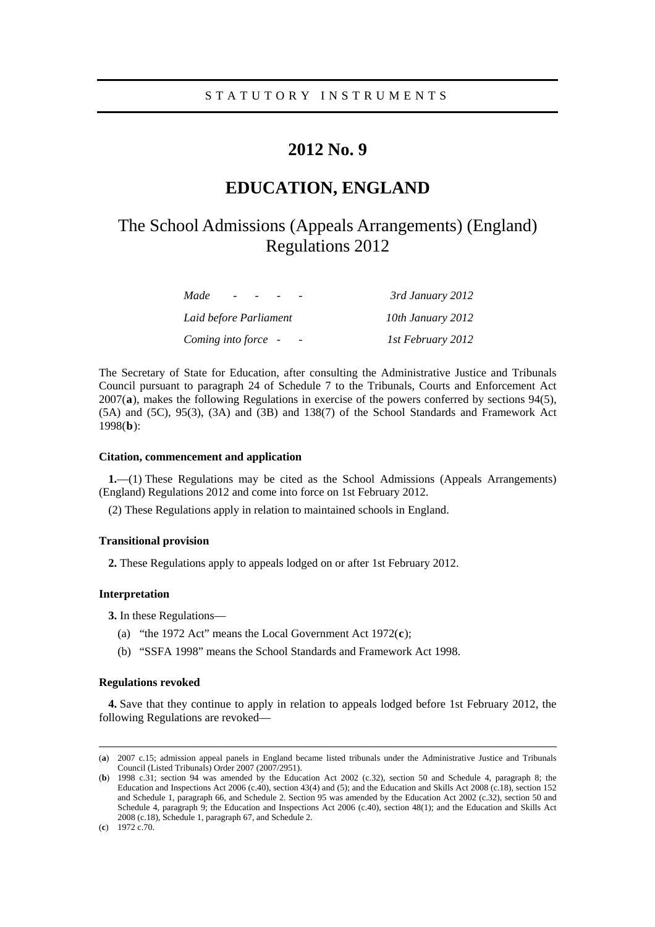### STATUTORY INSTRUMENTS

## **2012 No. 9**

# **EDUCATION, ENGLAND**

# The School Admissions (Appeals Arrangements) (England) Regulations 2012

| Made<br>$\overline{\phantom{0}}$ | 3rd January 2012  |
|----------------------------------|-------------------|
| Laid before Parliament           | 10th January 2012 |
| Coming into force -              | 1st February 2012 |

The Secretary of State for Education, after consulting the Administrative Justice and Tribunals Council pursuant to paragraph 24 of Schedule 7 to the Tribunals, Courts and Enforcement Act 2007(**[a](#page-0-0)**), makes the following Regulations in exercise of the powers conferred by sections 94(5), (5A) and (5C), 95(3), (3A) and (3B) and 138(7) of the School Standards and Framework Act 1998(**[b](#page-0-1)**):

#### **Citation, commencement and application**

**1.**—(1) These Regulations may be cited as the School Admissions (Appeals Arrangements) (England) Regulations 2012 and come into force on 1st February 2012.

(2) These Regulations apply in relation to maintained schools in England.

#### **Transitional provision**

**2.** These Regulations apply to appeals lodged on or after 1st February 2012.

#### **Interpretation**

**3.** In these Regulations—

- (a) "the 1972 Act" means the Local Government Act 1972(**[c](#page-0-2)**);
- (b) "SSFA 1998" means the School Standards and Framework Act 1998.

#### **Regulations revoked**

**4.** Save that they continue to apply in relation to appeals lodged before 1st February 2012, the following Regulations are revoked—

<span id="page-0-0"></span> <sup>(</sup>**a**) 2007 c.15; admission appeal panels in England became listed tribunals under the Administrative Justice and Tribunals Council (Listed Tribunals) Order 2007 (2007/2951).

<span id="page-0-1"></span><sup>(</sup>**b**) 1998 c.31; section 94 was amended by the Education Act 2002 (c.32), section 50 and Schedule 4, paragraph 8; the Education and Inspections Act 2006 (c.40), section 43(4) and (5); and the Education and Skills Act 2008 (c.18), section 152 and Schedule 1, paragraph 66, and Schedule 2. Section 95 was amended by the Education Act 2002 (c.32), section 50 and Schedule 4, paragraph 9; the Education and Inspections Act 2006 (c.40), section 48(1); and the Education and Skills Act 2008 (c.18), Schedule 1, paragraph 67, and Schedule 2.

<span id="page-0-2"></span><sup>(</sup>**c**) 1972 c.70.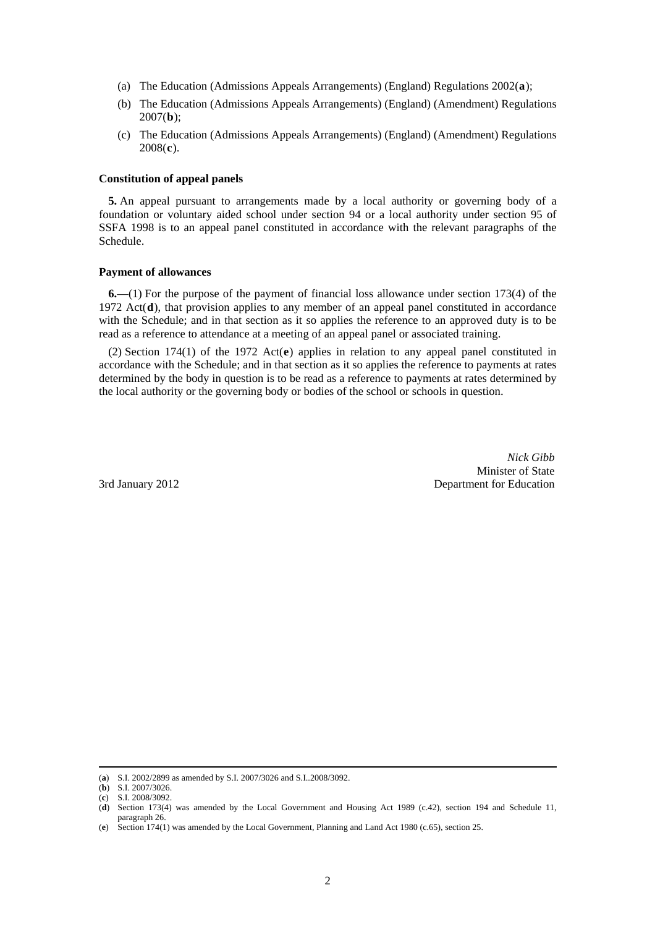- (a) The Education (Admissions Appeals Arrangements) (England) Regulations 2002(**[a](#page-0-1)**);
- (b) The Education (Admissions Appeals Arrangements) (England) (Amendment) Regulations 2007(**[b](#page-1-0)**);
- (c) The Education (Admissions Appeals Arrangements) (England) (Amendment) Regulations 2008(**[c](#page-1-1)**).

#### **Constitution of appeal panels**

**5.** An appeal pursuant to arrangements made by a local authority or governing body of a foundation or voluntary aided school under section 94 or a local authority under section 95 of SSFA 1998 is to an appeal panel constituted in accordance with the relevant paragraphs of the Schedule.

#### **Payment of allowances**

**6.**—(1) For the purpose of the payment of financial loss allowance under section 173(4) of the 1972 Act(**[d](#page-1-2)**), that provision applies to any member of an appeal panel constituted in accordance with the Schedule; and in that section as it so applies the reference to an approved duty is to be read as a reference to attendance at a meeting of an appeal panel or associated training.

(2) Section 174(1) of the 1972 Act(**[e](#page-1-3)**) applies in relation to any appeal panel constituted in accordance with the Schedule; and in that section as it so applies the reference to payments at rates determined by the body in question is to be read as a reference to payments at rates determined by the local authority or the governing body or bodies of the school or schools in question.

*Nick Gibb*  Minister of State 3rd January 2012 Department for Education

 <sup>(</sup>**a**) S.I. 2002/2899 as amended by S.I. 2007/3026 and S.I..2008/3092.

<span id="page-1-1"></span><span id="page-1-0"></span><sup>(</sup>**b**) S.I. 2007/3026.

<sup>(</sup>**c**) S.I. 2008/3092.

<span id="page-1-2"></span><sup>(</sup>**d**) Section 173(4) was amended by the Local Government and Housing Act 1989 (c.42), section 194 and Schedule 11, paragraph 26.

<span id="page-1-3"></span><sup>(</sup>**e**) Section 174(1) was amended by the Local Government, Planning and Land Act 1980 (c.65), section 25.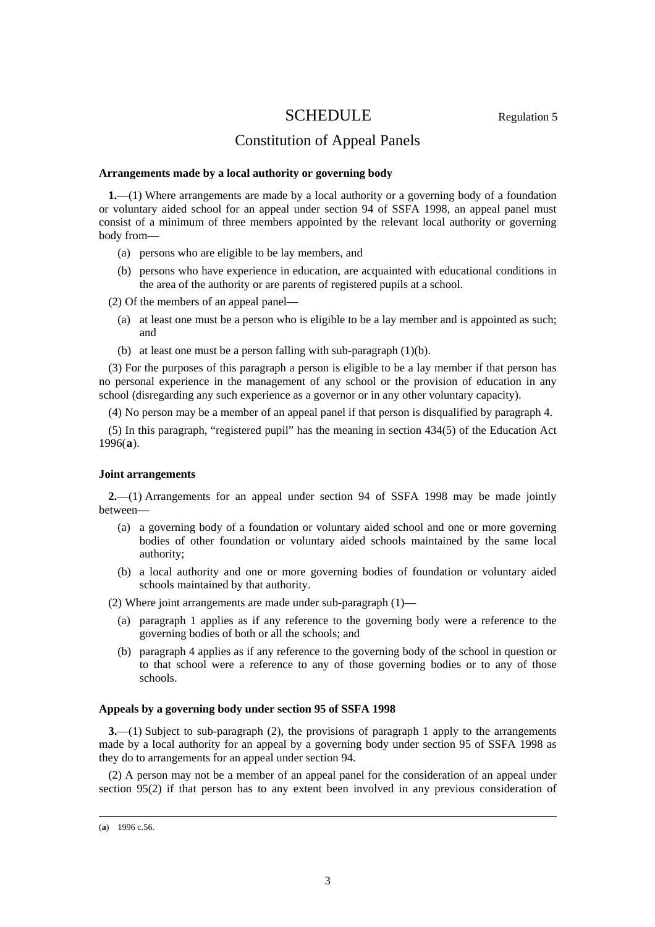## SCHEDULE Regulation 5

## Constitution of Appeal Panels

#### **Arrangements made by a local authority or governing body**

**1.**—(1) Where arrangements are made by a local authority or a governing body of a foundation or voluntary aided school for an appeal under section 94 of SSFA 1998, an appeal panel must consist of a minimum of three members appointed by the relevant local authority or governing body from—

- (a) persons who are eligible to be lay members, and
- (b) persons who have experience in education, are acquainted with educational conditions in the area of the authority or are parents of registered pupils at a school.

(2) Of the members of an appeal panel—

- (a) at least one must be a person who is eligible to be a lay member and is appointed as such; and
- (b) at least one must be a person falling with sub-paragraph (1)(b).

(3) For the purposes of this paragraph a person is eligible to be a lay member if that person has no personal experience in the management of any school or the provision of education in any school (disregarding any such experience as a governor or in any other voluntary capacity).

(4) No person may be a member of an appeal panel if that person is disqualified by paragraph 4.

(5) In this paragraph, "registered pupil" has the meaning in section 434(5) of the Education Act 1996(**[a](#page-1-3)**).

#### **Joint arrangements**

**2.**—(1) Arrangements for an appeal under section 94 of SSFA 1998 may be made jointly between—

- (a) a governing body of a foundation or voluntary aided school and one or more governing bodies of other foundation or voluntary aided schools maintained by the same local authority;
- (b) a local authority and one or more governing bodies of foundation or voluntary aided schools maintained by that authority.

(2) Where joint arrangements are made under sub-paragraph (1)—

- (a) paragraph 1 applies as if any reference to the governing body were a reference to the governing bodies of both or all the schools; and
- (b) paragraph 4 applies as if any reference to the governing body of the school in question or to that school were a reference to any of those governing bodies or to any of those schools.

#### **Appeals by a governing body under section 95 of SSFA 1998**

**3.**—(1) Subject to sub-paragraph (2), the provisions of paragraph 1 apply to the arrangements made by a local authority for an appeal by a governing body under section 95 of SSFA 1998 as they do to arrangements for an appeal under section 94.

(2) A person may not be a member of an appeal panel for the consideration of an appeal under section 95(2) if that person has to any extent been involved in any previous consideration of

<span id="page-2-0"></span> <sup>(</sup>**a**) 1996 c.56.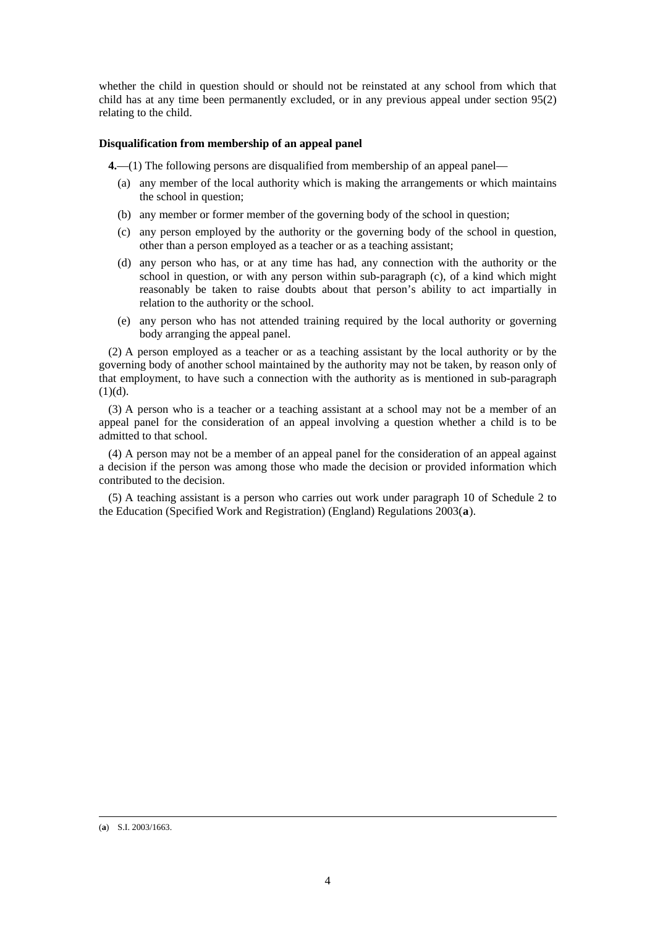whether the child in question should or should not be reinstated at any school from which that child has at any time been permanently excluded, or in any previous appeal under section 95(2) relating to the child.

#### **Disqualification from membership of an appeal panel**

**4.**—(1) The following persons are disqualified from membership of an appeal panel—

- (a) any member of the local authority which is making the arrangements or which maintains the school in question;
- (b) any member or former member of the governing body of the school in question;
- (c) any person employed by the authority or the governing body of the school in question, other than a person employed as a teacher or as a teaching assistant;
- (d) any person who has, or at any time has had, any connection with the authority or the school in question, or with any person within sub-paragraph (c), of a kind which might reasonably be taken to raise doubts about that person's ability to act impartially in relation to the authority or the school.
- (e) any person who has not attended training required by the local authority or governing body arranging the appeal panel.

(2) A person employed as a teacher or as a teaching assistant by the local authority or by the governing body of another school maintained by the authority may not be taken, by reason only of that employment, to have such a connection with the authority as is mentioned in sub-paragraph  $(1)(d)$ .

(3) A person who is a teacher or a teaching assistant at a school may not be a member of an appeal panel for the consideration of an appeal involving a question whether a child is to be admitted to that school.

(4) A person may not be a member of an appeal panel for the consideration of an appeal against a decision if the person was among those who made the decision or provided information which contributed to the decision.

(5) A teaching assistant is a person who carries out work under paragraph 10 of Schedule 2 to the Education (Specified Work and Registration) (England) Regulations 2003(**[a](#page-2-0)**).